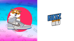

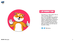



Kickz Inu - **White paper**

1

# 1.introduction

The Kickz Inu white paper aims to inform readers about our vision, strategy and roadmap. Below we illustrate in detail our atypical redistribution mechanism which combines both rewards in Kickz Inu and physical rewards such as Sneakers through unique NFTs having for the first time on the BSC a utility.

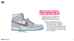





#### 2.Presentation and history of Kickz Inu

Welcome to the world of Kickz Inu, the coolest meme on the BSC. He's a sneaker enthusiast who's only too happy to share his passion with you!

> Kickz Inu is a deflationary token on the one hand and on the other hand offers two types of reflections to its holders. Firstly, rewards in Kickz Inu that are automatically added to your wallet and secondly, rewards in real limited pairs of sneakers in the form of unique NFTs that can be traded on our NFT platform.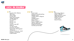



## 3.KICKZ INU ROADMAP



- *. Launch of the Website. Shill Army*
- *. White Paper*
- *. Private Sale*
- *. Setup Social Media*
- *. 10,000 Telegram bio members*
- *. Contest*
- *. Poocoin Ads*
- *. Presale*
- *. Launch of the NFT platform*
- *. 1st sale of NFT*
- *. Giveaway Sneakers*
- *. Partnership with targeted influencers*
- *. Launch of Kickz Inu. Audit.*
- *. Listing on CoinGecko*
- *. 5,000 Holders*



#### Q3

- *. CEX Listing: Bitmart, Hotbit, Whitebit*
- *. Opening Store in Paris*
- *. 200M MarketCap*
- *. Mobile version*
- *of the game*
- *. More to come...*







- Q2
- 
- 
- 
- - *members*
- 
- *. Popup Store*
- 
- 
- 
- 
- 

*. Certik Audit . Listing on CoinMarketCap . Website Game . 15,000 organic Telegram . 10,000 Holders . Kickz Inu Merch . Logo on Web3 wallets and PancakeSwap . Celebrity Partnerships . YouTube partnership*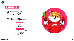*Buy Tax 12%*







### 4. Tokenomics

| Presale $\longrightarrow$ 67.79%      |                                                |
|---------------------------------------|------------------------------------------------|
| Burn $\longrightarrow$ 14.84%         |                                                |
| Private Sale $\longrightarrow$ 7.88%  |                                                |
| Marketing Wallet $\longrightarrow$ 5% |                                                |
| Airdrop Contest - 2.31%               |                                                |
| Team Wallet $\longrightarrow$ 1.5%    |                                                |
| Dxsale Fees $\longrightarrow$ 0.68%   |                                                |
|                                       | Total Supply $\longrightarrow$ 100,000,000,000 |

- *Liquidity Pool 4% Rewards 5%*
- *Marketing 3%*

- *Liquidity Pool 3% Rewards 5% Marketing 4%*
- *Burn 4%*

#### *Sell Tax 16%*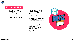



### 5.1 Plateforme NFT

Kickz Inu has its own NFT platform where you can trade different types of NFT related to the Kickz Inu uni verse.

There will be two types of NFTs, as follows:

1) Kickz Inu NFTs which will be NFTs representing the coo lest meme of the BSC wearing his favorite pairs of sneakers through the biggest cities of the world.

The NFT Kickz Inu will be clas sified according to their rarity, here are the different types of categories:

- Sneakers ( 2 copies )
- 
- Rare ( 10 copies )
- 
- Common ( 40 copies )

- Ultra rare ( 4 copies ) - Uncommon ( 20 copies )



They will be sold, bought and exchanged on our platform.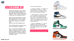





#### 5.2 Plateforme NFT

2) The NFT Sneakers, they will be NFT representing limited pairs of Sneakers part of the collection of Kickz Inu. They will be represented in the form of a collector's card.

The only way to get them is to win them through the various contests that will be set up or to buy them from other winners via our plat form.

What are the NFT Sneakers for?

These NFT Sneakers represent your pairs of Sneakers, real pairs.

(e.g. if I win an Air Jordan 1 Chi cago, instead of receiving the pair directly in physical form, I receive the unique NFT of the Air Jordan 1 Chicago of which I will be the one and only owner. )

*I have several options:*

*- I want my real pair -> I choose on the platform to destroy my NFT and I transmit my postal coordina tes to have the pair delivered.*

*- I want to sell it -> I put it on sale on our platform and anyone can buy it from me and become the only owner, he will then be able to resell it at a higher price or not or ask to receive it physically by des troying the NFT.*

*- I want to exchange it -> I can ex change my NFT on the market place that represents the real pair for someone else's or for an NFT Kickz Inu.*

*In short, the NFT Sneakers is a title deed to the real pair of sneakers.*